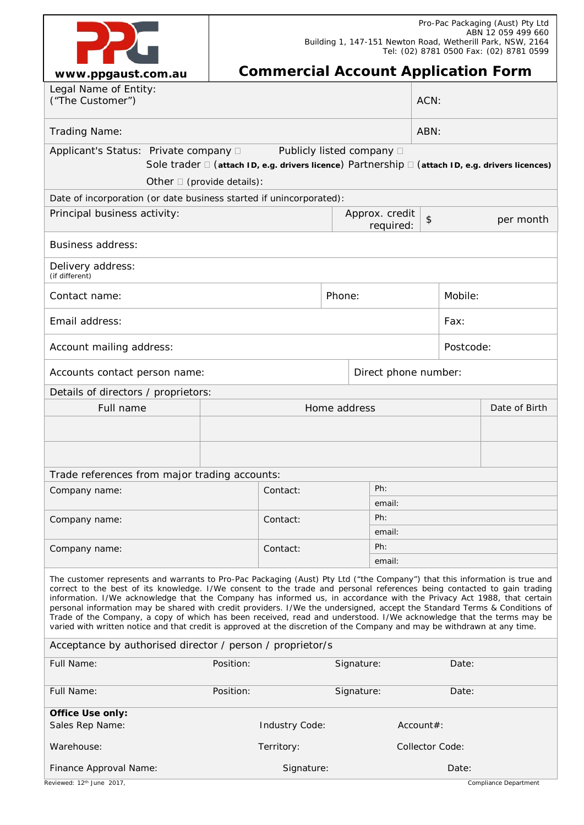| $100000$ noonet com au |
|------------------------|

# **Commercial Account Application Form**

| www.ppgaust.com.au                                                                                                                                                                                                                                                                                                                                                                                                                                                                                                                                                                                                                                                                                                                                               |                               |                                                                           |        |                           |               |                        |                                                                                                  |  |
|------------------------------------------------------------------------------------------------------------------------------------------------------------------------------------------------------------------------------------------------------------------------------------------------------------------------------------------------------------------------------------------------------------------------------------------------------------------------------------------------------------------------------------------------------------------------------------------------------------------------------------------------------------------------------------------------------------------------------------------------------------------|-------------------------------|---------------------------------------------------------------------------|--------|---------------------------|---------------|------------------------|--------------------------------------------------------------------------------------------------|--|
| Legal Name of Entity:<br>("The Customer")                                                                                                                                                                                                                                                                                                                                                                                                                                                                                                                                                                                                                                                                                                                        |                               |                                                                           |        | ACN:                      |               |                        |                                                                                                  |  |
| Trading Name:                                                                                                                                                                                                                                                                                                                                                                                                                                                                                                                                                                                                                                                                                                                                                    |                               |                                                                           |        |                           | ABN:          |                        |                                                                                                  |  |
| Applicant's Status: Private company D                                                                                                                                                                                                                                                                                                                                                                                                                                                                                                                                                                                                                                                                                                                            |                               |                                                                           |        | Publicly listed company □ |               |                        | Sole trader □ (attach ID, e.g. drivers licence) Partnership □ (attach ID, e.g. drivers licences) |  |
| Other $\square$ (provide details):                                                                                                                                                                                                                                                                                                                                                                                                                                                                                                                                                                                                                                                                                                                               |                               |                                                                           |        |                           |               |                        |                                                                                                  |  |
| Date of incorporation (or date business started if unincorporated):                                                                                                                                                                                                                                                                                                                                                                                                                                                                                                                                                                                                                                                                                              |                               |                                                                           |        |                           |               |                        |                                                                                                  |  |
| Principal business activity:                                                                                                                                                                                                                                                                                                                                                                                                                                                                                                                                                                                                                                                                                                                                     | Approx. credit                |                                                                           |        | required:                 | $\frac{1}{2}$ |                        | per month                                                                                        |  |
| <b>Business address:</b>                                                                                                                                                                                                                                                                                                                                                                                                                                                                                                                                                                                                                                                                                                                                         |                               |                                                                           |        |                           |               |                        |                                                                                                  |  |
| Delivery address:<br>(if different)                                                                                                                                                                                                                                                                                                                                                                                                                                                                                                                                                                                                                                                                                                                              |                               |                                                                           |        |                           |               |                        |                                                                                                  |  |
| Contact name:                                                                                                                                                                                                                                                                                                                                                                                                                                                                                                                                                                                                                                                                                                                                                    |                               |                                                                           | Phone: |                           |               | Mobile:                |                                                                                                  |  |
| Email address:                                                                                                                                                                                                                                                                                                                                                                                                                                                                                                                                                                                                                                                                                                                                                   |                               |                                                                           |        |                           |               | Fax:                   |                                                                                                  |  |
| Account mailing address:                                                                                                                                                                                                                                                                                                                                                                                                                                                                                                                                                                                                                                                                                                                                         |                               |                                                                           |        | Postcode:                 |               |                        |                                                                                                  |  |
| Accounts contact person name:                                                                                                                                                                                                                                                                                                                                                                                                                                                                                                                                                                                                                                                                                                                                    | Direct phone number:          |                                                                           |        |                           |               |                        |                                                                                                  |  |
| Details of directors / proprietors:                                                                                                                                                                                                                                                                                                                                                                                                                                                                                                                                                                                                                                                                                                                              |                               |                                                                           |        |                           |               |                        |                                                                                                  |  |
| Full name                                                                                                                                                                                                                                                                                                                                                                                                                                                                                                                                                                                                                                                                                                                                                        | Home address<br>Date of Birth |                                                                           |        |                           |               |                        |                                                                                                  |  |
|                                                                                                                                                                                                                                                                                                                                                                                                                                                                                                                                                                                                                                                                                                                                                                  |                               |                                                                           |        |                           |               |                        |                                                                                                  |  |
|                                                                                                                                                                                                                                                                                                                                                                                                                                                                                                                                                                                                                                                                                                                                                                  |                               |                                                                           |        |                           |               |                        |                                                                                                  |  |
| Trade references from major trading accounts:                                                                                                                                                                                                                                                                                                                                                                                                                                                                                                                                                                                                                                                                                                                    |                               |                                                                           |        |                           |               |                        |                                                                                                  |  |
| Company name:                                                                                                                                                                                                                                                                                                                                                                                                                                                                                                                                                                                                                                                                                                                                                    |                               | Ph:<br>Contact:<br>email:<br>Ph:<br>Contact:<br>email:<br>Ph:<br>Contact: |        |                           |               |                        |                                                                                                  |  |
|                                                                                                                                                                                                                                                                                                                                                                                                                                                                                                                                                                                                                                                                                                                                                                  |                               |                                                                           |        |                           |               |                        |                                                                                                  |  |
| Company name:                                                                                                                                                                                                                                                                                                                                                                                                                                                                                                                                                                                                                                                                                                                                                    |                               |                                                                           |        |                           |               |                        |                                                                                                  |  |
|                                                                                                                                                                                                                                                                                                                                                                                                                                                                                                                                                                                                                                                                                                                                                                  |                               |                                                                           |        |                           |               |                        |                                                                                                  |  |
| Company name:                                                                                                                                                                                                                                                                                                                                                                                                                                                                                                                                                                                                                                                                                                                                                    |                               |                                                                           |        | email:                    |               |                        |                                                                                                  |  |
| The customer represents and warrants to Pro-Pac Packaging (Aust) Pty Ltd ("the Company") that this information is true and<br>correct to the best of its knowledge. I/We consent to the trade and personal references being contacted to gain trading<br>information. I/We acknowledge that the Company has informed us, in accordance with the Privacy Act 1988, that certain<br>personal information may be shared with credit providers. I/We the undersigned, accept the Standard Terms & Conditions of<br>Trade of the Company, a copy of which has been received, read and understood. I/We acknowledge that the terms may be<br>varied with written notice and that credit is approved at the discretion of the Company and may be withdrawn at any time. |                               |                                                                           |        |                           |               |                        |                                                                                                  |  |
| Acceptance by authorised director / person / proprietor/s                                                                                                                                                                                                                                                                                                                                                                                                                                                                                                                                                                                                                                                                                                        |                               |                                                                           |        |                           |               |                        |                                                                                                  |  |
| Full Name:                                                                                                                                                                                                                                                                                                                                                                                                                                                                                                                                                                                                                                                                                                                                                       | Position:                     |                                                                           |        | Signature:                |               | Date:                  |                                                                                                  |  |
| Full Name:                                                                                                                                                                                                                                                                                                                                                                                                                                                                                                                                                                                                                                                                                                                                                       | Position:                     |                                                                           |        | Signature:                |               | Date:                  |                                                                                                  |  |
| <b>Office Use only:</b>                                                                                                                                                                                                                                                                                                                                                                                                                                                                                                                                                                                                                                                                                                                                          |                               |                                                                           |        |                           |               |                        |                                                                                                  |  |
| Sales Rep Name:                                                                                                                                                                                                                                                                                                                                                                                                                                                                                                                                                                                                                                                                                                                                                  |                               | Industry Code:                                                            |        |                           | Account#:     |                        |                                                                                                  |  |
| Warehouse:                                                                                                                                                                                                                                                                                                                                                                                                                                                                                                                                                                                                                                                                                                                                                       |                               | Territory:                                                                |        |                           |               | <b>Collector Code:</b> |                                                                                                  |  |
| Finance Approval Name:                                                                                                                                                                                                                                                                                                                                                                                                                                                                                                                                                                                                                                                                                                                                           |                               | Signature:                                                                |        |                           |               | Date:                  |                                                                                                  |  |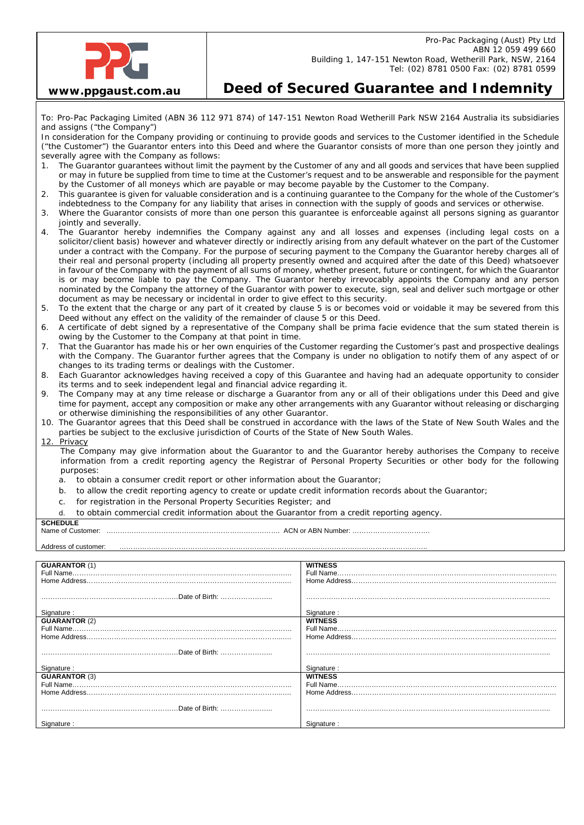

## **Deed of Secured Guarantee and Indemnity**

To: Pro-Pac Packaging Limited (ABN 36 112 971 874) of 147-151 Newton Road Wetherill Park NSW 2164 Australia its subsidiaries and assigns ("the Company")

In consideration for the Company providing or continuing to provide goods and services to the Customer identified in the Schedule ("the Customer") the Guarantor enters into this Deed and where the Guarantor consists of more than one person they jointly and severally agree with the Company as follows:

- 1. The Guarantor guarantees without limit the payment by the Customer of any and all goods and services that have been supplied or may in future be supplied from time to time at the Customer's request and to be answerable and responsible for the payment by the Customer of all moneys which are payable or may become payable by the Customer to the Company.
- 2. This guarantee is given for valuable consideration and is a continuing guarantee to the Company for the whole of the Customer's indebtedness to the Company for any liability that arises in connection with the supply of goods and services or otherwise.
- 3. Where the Guarantor consists of more than one person this guarantee is enforceable against all persons signing as guarantor jointly and severally.
- 4. The Guarantor hereby indemnifies the Company against any and all losses and expenses (including legal costs on a solicitor/client basis) however and whatever directly or indirectly arising from any default whatever on the part of the Customer under a contract with the Company. For the purpose of securing payment to the Company the Guarantor hereby charges all of their real and personal property (including all property presently owned and acquired after the date of this Deed) whatsoever in favour of the Company with the payment of all sums of money, whether present, future or contingent, for which the Guarantor is or may become liable to pay the Company. The Guarantor hereby irrevocably appoints the Company and any person nominated by the Company the attorney of the Guarantor with power to execute, sign, seal and deliver such mortgage or other document as may be necessary or incidental in order to give effect to this security.
- 5. To the extent that the charge or any part of it created by clause 5 is or becomes void or voidable it may be severed from this Deed without any effect on the validity of the remainder of clause 5 or this Deed.
- 6. A certificate of debt signed by a representative of the Company shall be prima facie evidence that the sum stated therein is owing by the Customer to the Company at that point in time.
- 7. That the Guarantor has made his or her own enquiries of the Customer regarding the Customer's past and prospective dealings with the Company. The Guarantor further agrees that the Company is under no obligation to notify them of any aspect of or changes to its trading terms or dealings with the Customer.
- 8. Each Guarantor acknowledges having received a copy of this Guarantee and having had an adequate opportunity to consider its terms and to seek independent legal and financial advice regarding it.
- 9. The Company may at any time release or discharge a Guarantor from any or all of their obligations under this Deed and give time for payment, accept any composition or make any other arrangements with any Guarantor without releasing or discharging or otherwise diminishing the responsibilities of any other Guarantor.
- 10. The Guarantor agrees that this Deed shall be construed in accordance with the laws of the State of New South Wales and the parties be subject to the exclusive jurisdiction of Courts of the State of New South Wales.
- 12. Privacy

The Company may give information about the Guarantor to and the Guarantor hereby authorises the Company to receive information from a credit reporting agency the Registrar of Personal Property Securities or other body for the following purposes:

- a. to obtain a consumer credit report or other information about the Guarantor;
- b. to allow the credit reporting agency to create or update credit information records about the Guarantor;
- c. for registration in the Personal Property Securities Register; and
- d. to obtain commercial credit information about the Guarantor from a credit reporting agency.

## **SCHEDULE**

Name of Customer: …………………………………………………………………. ACN or ABN Number: …………………………….

| <b>GUARANTOR (1)</b> | <b>WITNESS</b> |
|----------------------|----------------|
|                      |                |
|                      |                |
|                      |                |
|                      |                |
|                      |                |
| Signature:           | Signature:     |
| <b>GUARANTOR (2)</b> | <b>WITNESS</b> |
|                      |                |
|                      |                |
|                      |                |
|                      |                |
|                      |                |
| Signature:           | Signature:     |
| <b>GUARANTOR (3)</b> | <b>WITNESS</b> |
|                      |                |
|                      |                |
|                      |                |
|                      |                |
|                      |                |
| Signature:           | Signature:     |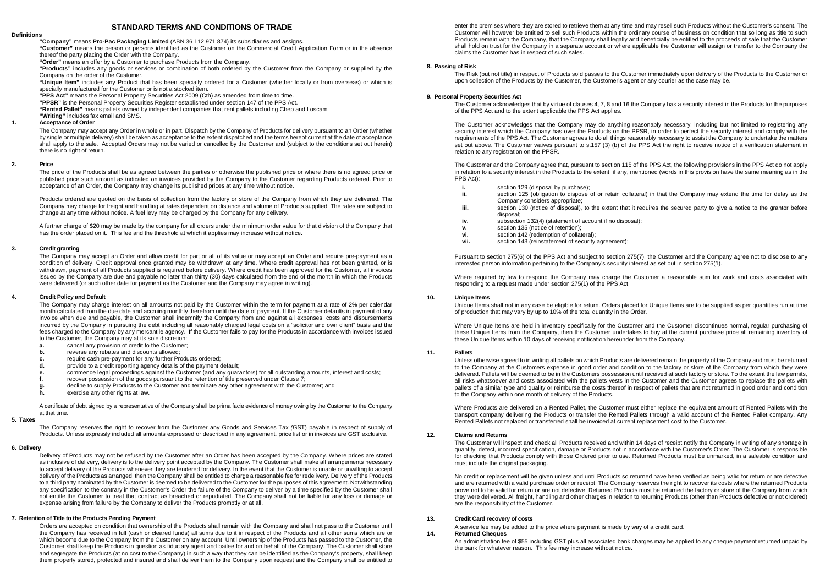## **STANDARD TERMS AND CONDITIONS OF TRADE**

## **Definitions**

**"Company"** means **Pro-Pac Packaging Limited** (ABN 36 112 971 874) its subsidiaries and assigns.

**"Customer"** means the person or persons identified as the Customer on the Commercial Credit Application Form or in the absence thereof the party placing the Order with the Company.

**"Order"** means an offer by a Customer to purchase Products from the Company.

**"Products"** includes any goods or services or combination of both ordered by the Customer from the Company or supplied by the Company on the order of the Customer.

**"Unique Item"** includes any Product that has been specially ordered for a Customer (whether locally or from overseas) or which is specially manufactured for the Customer or is not a stocked item.

**"PPS Act"** means the Personal Property Securities Act 2009 (Cth) as amended from time to time.

**"PPSR"** is the Personal Property Securities Register established under section 147 of the PPS Act.

**"Rented Pallet"** means pallets owned by independent companies that rent pallets including Chep and Loscam.

**"Writing"** includes fax email and SMS.

## **1. Acceptance of Order**

The Company may accept any Order in whole or in part. Dispatch by the Company of Products for delivery pursuant to an Order (whether by single or multiple delivery) shall be taken as acceptance to the extent dispatched and the terms hereof current at the date of acceptance shall apply to the sale. Accepted Orders may not be varied or cancelled by the Customer and (subject to the conditions set out herein) there is no right of return.

## **2. Price**

The price of the Products shall be as agreed between the parties or otherwise the published price or where there is no agreed price or published price such amount as indicated on invoices provided by the Company to the Customer regarding Products ordered. Prior to acceptance of an Order, the Company may change its published prices at any time without notice.

Products ordered are quoted on the basis of collection from the factory or store of the Company from which they are delivered. The Company may charge for freight and handling at rates dependent on distance and volume of Products supplied. The rates are subject to change at any time without notice. A fuel levy may be charged by the Company for any delivery.

A further charge of \$20 may be made by the company for all orders under the minimum order value for that division of the Company that has the order placed on it. This fee and the threshold at which it applies may increase without notice.

## **3. Credit granting**

The Company may accept an Order and allow credit for part or all of its value or may accept an Order and require pre-payment as a condition of delivery. Credit approval once granted may be withdrawn at any time. Where credit approval has not been granted, or is withdrawn, payment of all Products supplied is required before delivery. Where credit has been approved for the Customer, all invoices issued by the Company are due and payable no later than thirty (30) days calculated from the end of the month in which the Products were delivered (or such other date for payment as the Customer and the Company may agree in writing).

## **4. Credit Policy and Default**

The Company may charge interest on all amounts not paid by the Customer within the term for payment at a rate of 2% per calendar month calculated from the due date and accruing monthly therefrom until the date of payment. If the Customer defaults in payment of any invoice when due and payable, the Customer shall indemnify the Company from and against all expenses, costs and disbursements incurred by the Company in pursuing the debt including all reasonably charged legal costs on a "solicitor and own client" basis and the fees charged to the Company by any mercantile agency. If the Customer fails to pay for the Products in accordance with invoices issued to the Customer, the Company may at its sole discretion:

- **a.** cancel any provision of credit to the Customer;<br>**b.** reverse any rebates and discounts allowed;
- **b.** reverse any rebates and discounts allowed;<br>**c.** require cash pre-payment for any further Pro-
- **c.** require cash pre-payment for any further Products ordered;<br>**d.** provide to a credit reporting agency details of the payment of
- **d.** provide to a credit reporting agency details of the payment default;<br>**e.** commence legal proceedings against the Customer (and any quara
- **e.** commence legal proceedings against the Customer (and any guarantors) for all outstanding amounts, interest and costs;<br>**f.** recover possession of the goods pursuant to the retention of title preserved under Clause 7;
- **f.** recover possession of the goods pursuant to the retention of title preserved under Clause 7;
- **g.** decline to supply Products to the Customer and terminate any other agreement with the Customer; and **h.** exercise any other rights at law.
- **h.** exercise any other rights at law.

A certificate of debt signed by a representative of the Company shall be prima facie evidence of money owing by the Customer to the Company at that time.

#### **5. Taxes**

The Company reserves the right to recover from the Customer any Goods and Services Tax *(*GST) payable in respect of supply of Products. Unless expressly included all amounts expressed or described in any agreement, price list or in invoices are GST exclusive.

#### **6. Delivery**

Delivery of Products may not be refused by the Customer after an Order has been accepted by the Company. Where prices are stated as inclusive of delivery, delivery is to the delivery point accepted by the Company. The Customer shall make all arrangements necessary to accept delivery of the Products whenever they are tendered for delivery. In the event that the Customer is unable or unwilling to accept delivery of the Products as arranged, then the Company shall be entitled to charge a reasonable fee for redelivery. Delivery of the Products to a third party nominated by the Customer is deemed to be delivered to the Customer for the purposes of this agreement. Notwithstanding any specification to the contrary in the Customer's Order the failure of the Company to deliver by a time specified by the Customer shall not entitle the Customer to treat that contract as breached or repudiated. The Company shall not be liable for any loss or damage or expense arising from failure by the Company to deliver the Products promptly or at all.

## **7. Retention of Title to the Products Pending Payment**

Orders are accepted on condition that ownership of the Products shall remain with the Company and shall not pass to the Customer until the Company has received in full (cash or cleared funds) all sums due to it in respect of the Products and all other sums which are or which become due to the Company from the Customer on any account. Until ownership of the Products has passed to the Customer, the Customer shall keep the Products in question as fiduciary agent and bailee for and on behalf of the Company. The Customer shall store and segregate the Products (at no cost to the Company) in such a way that they can be identified as the Company's property, shall keep them properly stored, protected and insured and shall deliver them to the Company upon request and the Company shall be entitled to

enter the premises where they are stored to retrieve them at any time and may resell such Products without the Customer's consent. The Customer will however be entitled to sell such Products within the ordinary course of business on condition that so long as title to such Products remain with the Company, that the Company shall legally and beneficially be entitled to the proceeds of sale that the Customer shall hold on trust for the Company in a separate account or where applicable the Customer will assign or transfer to the Company the claims the Customer has in respect of such sales.

## **8. Passing of Risk**

The Risk (but not title) in respect of Products sold passes to the Customer immediately upon delivery of the Products to the Customer or upon collection of the Products by the Customer, the Customer's agent or any courier as the case may be.

## **9. Personal Property Securities Act**

The Customer acknowledges that by virtue of clauses 4, 7, 8 and 16 the Company has a security interest in the Products for the purposes of the PPS Act and to the extent applicable the PPS Act applies.

The Customer acknowledges that the Company may do anything reasonably necessary, including but not limited to registering any security interest which the Company has over the Products on the PPSR, in order to perfect the security interest and comply with the requirements of the PPS Act. The Customer agrees to do all things reasonably necessary to assist the Company to undertake the matters set out above. The Customer waives pursuant to s.157 (3) (b) of the PPS Act the right to receive notice of a verification statement in relation to any registration on the PPSR.

The Customer and the Company agree that, pursuant to section 115 of the PPS Act, the following provisions in the PPS Act do not apply in relation to a security interest in the Products to the extent, if any, mentioned (words in this provision have the same meaning as in the PPS Act):

- **i.** section 129 (disposal by purchase);<br>**ii.** section 125 (obligation to dispose
- section 125 (obligation to dispose of or retain collateral) in that the Company may extend the time for delay as the Company considers appropriate;
- **iii.** section 130 (notice of disposal), to the extent that it requires the secured party to give a notice to the grantor before disposal;
- **iv.** subsection 132(4) (statement of account if no disposal);
- **v.** section 135 (notice of retention);<br>**vi.** section 142 (redemption of collat
- **vi.** section 142 (redemption of collateral);<br>**vii.** section 143 (reinstatement of security
- section 143 (reinstatement of security agreement);

Pursuant to section 275(6) of the PPS Act and subject to section 275(7), the Customer and the Company agree not to disclose to any interested person information pertaining to the Company's security interest as set out in section 275(1).

Where required by law to respond the Company may charge the Customer a reasonable sum for work and costs associated with responding to a request made under section 275(1) of the PPS Act.

#### **10. Unique Items**

Unique Items shall not in any case be eligible for return. Orders placed for Unique Items are to be supplied as per quantities run at time of production that may vary by up to 10% of the total quantity in the Order.

Where Unique Items are held in inventory specifically for the Customer and the Customer discontinues normal, regular purchasing of these Unique Items from the Company, then the Customer undertakes to buy at the current purchase price all remaining inventory of these Unique Items within 10 days of receiving notification hereunder from the Company.

#### **11. Pallets**

Unless otherwise agreed to in writing all pallets on which Products are delivered remain the property of the Company and must be returned to the Company at the Customers expense in good order and condition to the factory or store of the Company from which they were delivered. Pallets will be deemed to be in the Customers possession until received at such factory or store. To the extent the law permits, all risks whatsoever and costs associated with the pallets vests in the Customer and the Customer agrees to replace the pallets with pallets of a similar type and quality or reimburse the costs thereof in respect of pallets that are not returned in good order and condition to the Company within one month of delivery of the Products.

Where Products are delivered on a Rented Pallet, the Customer must either replace the equivalent amount of Rented Pallets with the transport company delivering the Products or transfer the Rented Pallets through a valid account of the Rented Pallet company. Any Rented Pallets not replaced or transferred shall be invoiced at current replacement cost to the Customer.

## **12. Claims and Returns**

The Customer will inspect and check all Products received and within 14 days of receipt notify the Company in writing of any shortage in quantity, defect, incorrect specification, damage or Products not in accordance with the Customer's Order. The Customer is responsible for checking that Products comply with those Ordered prior to use. Returned Products must be unmarked, in a saleable condition and must include the original packaging.

No credit or replacement will be given unless and until Products so returned have been verified as being valid for return or are defective and are returned with a valid purchase order or receipt. The Company reserves the right to recover its costs where the returned Products prove not to be valid for return or are not defective. Returned Products must be returned the factory or store of the Company from which they were delivered. All freight, handling and other charges in relation to returning Products (other than Products defective or not ordered) are the responsibility of the Customer.

## **13. Credit Card recovery of costs**

A service fee may be added to the price where payment is made by way of a credit card.

## **14. Returned Cheques**

An administration fee of \$55 including GST plus all associated bank charges may be applied to any cheque payment returned unpaid by the bank for whatever reason. This fee may increase without notice.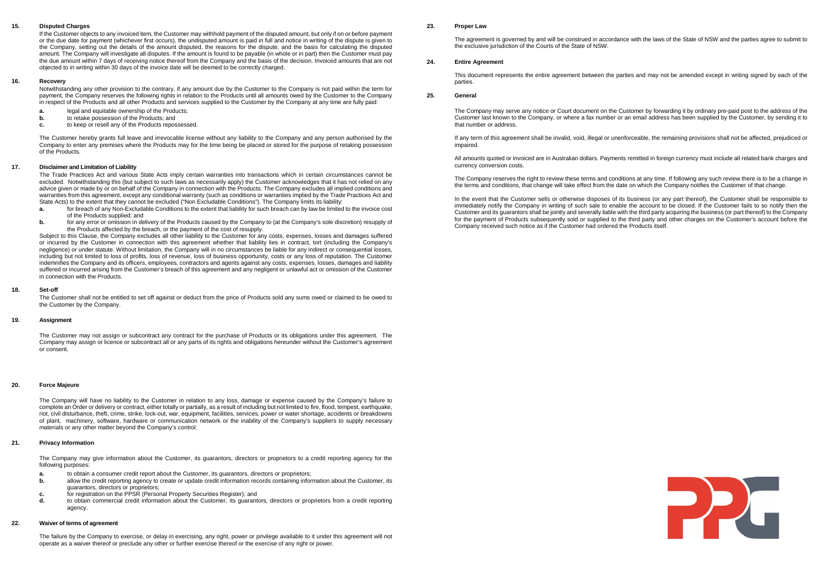## **15. Disputed Charges**

If the Customer objects to any invoiced item, the Customer may withhold payment of the disputed amount, but only if on or before payment or the due date for payment (whichever first occurs), the undisputed amount is paid in full and notice in writing of the dispute is given to the Company, setting out the details of the amount disputed, the reasons for the dispute, and the basis for calculating the disputed amount. The Company will investigate all disputes. If the amount is found to be payable (in whole or in part) then the Customer must pay the due amount within 7 days of receiving notice thereof from the Company and the basis of the decision. Invoiced amounts that are not objected to in writing within 30 days of the invoice date will be deemed to be correctly charged.

## **16. Recovery**

Notwithstanding any other provision to the contrary, if any amount due by the Customer to the Company is not paid within the term for payment, the Company reserves the following rights in relation to the Products until all amounts owed by the Customer to the Company in respect of the Products and all other Products and services supplied to the Customer by the Company at any time are fully paid:

- **a.** legal and equitable ownership of the Products;<br>**h** to retake possession of the Products; and
- **b.** to retake possession of the Products; and **c**. to keep or resell any of the Products repos
- **c.** to keep or resell any of the Products repossessed.

The Customer hereby grants full leave and irrevocable license without any liability to the Company and any person authorised by the Company to enter any premises where the Products may for the time being be placed or stored for the purpose of retaking possession of the Products.

#### **17. Disclaimer and Limitation of Liability**

The Trade Practices Act and various State Acts imply certain warranties into transactions which in certain circumstances cannot be excluded. Notwithstanding this (but subject to such laws as necessarily apply) the Customer acknowledges that it has not relied on any advice given or made by or on behalf of the Company in connection with the Products. The Company excludes all implied conditions and warranties from this agreement, except any conditional warranty (such as conditions or warranties implied by the Trade Practices Act and

- State Acts) to the extent that they cannot be excluded ("Non Excludable Conditions"). The Company limits its liability:<br> **a.** for breach of any Non-Excludable Conditions to the extent that liability for such breach can by **a.** for breach of any Non-Excludable Conditions to the extent that liability for such breach can by law be limited to the invoice cost of the Products supplied; and
- **b.** For any error or omission in delivery of the Products caused by the Company to (at the Company's sole discretion) resupply of the Products affected by the breach, or the payment of the cost of resupply.

Subject to this Clause, the Company excludes all other liability to the Customer for any costs, expenses, losses and damages suffered or incurred by the Customer in connection with this agreement whether that liability lies in contract, tort (including the Company's negligence) or under statute. Without limitation, the Company will in no circumstances be liable for any indirect or consequential losses, including but not limited to loss of profits, loss of revenue, loss of business opportunity, costs or any loss of reputation. The Customer indemnifies the Company and its officers, employees, contractors and agents against any costs, expenses, losses, damages and liability suffered or incurred arising from the Customer's breach of this agreement and any negligent or unlawful act or omission of the Customer in connection with the Products.

### **18. Set-off**

The Customer shall not be entitled to set off against or deduct from the price of Products sold any sums owed or claimed to be owed to the Customer by the Company.

## **19. Assignment**

The Customer may not assign or subcontract any contract for the purchase of Products or its obligations under this agreement. The Company may assign or licence or subcontract all or any parts of its rights and obligations hereunder without the Customer's agreement or consent.

## **20. Force Majeure**

The Company will have no liability to the Customer in relation to any loss, damage or expense caused by the Company's failure to complete an Order or delivery or contract, either totally or partially, as a result of including but not limited to fire, flood, tempest, earthquake, riot, civil disturbance, theft, crime, strike, lock-out, war, equipment, facilities, services, power or water shortage, accidents or breakdowns of plant, machinery, software, hardware or communication network or the inability of the Company's suppliers to supply necessary materials or any other matter beyond the Company's control.

## **21. Privacy Information**

The Company may give information about the Customer, its guarantors, directors or proprietors to a credit reporting agency for the following purposes:

- **a.** to obtain a consumer credit report about the Customer, its guarantors, directors or proprietors;<br>**b.** allow the credit reporting agency to create or update credit information records containing infor
- **b.** allow the credit reporting agency to create or update credit information records containing information about the Customer, its guarantors, directors or proprietors;
- **c.** for registration on the PPSR (Personal Property Securities Register); and **d.** to obtain commercial credit information about the Customer, its quarant
- **d.** to obtain commercial credit information about the Customer, its guarantors, directors or proprietors from a credit reporting agency

## **22. Waiver of terms of agreement**

The failure by the Company to exercise, or delay in exercising, any right, power or privilege available to it under this agreement will not operate as a waiver thereof or preclude any other or further exercise thereof or the exercise of any right or power.

## **23. Proper Law**

The agreement is governed by and will be construed in accordance with the laws of the State of NSW and the parties agree to submit to the exclusive jurisdiction of the Courts of the State of NSW.

## **24. Entire Agreement**

This document represents the entire agreement between the parties and may not be amended except in writing signed by each of the parties.

## **25. General**

The Company may serve any notice or Court document on the Customer by forwarding it by ordinary pre-paid post to the address of the Customer last known to the Company, or where a fax number or an email address has been supplied by the Customer, by sending it to that number or address.

If any term of this agreement shall be invalid, void, illegal or unenforceable, the remaining provisions shall not be affected, prejudiced or impaired.

All amounts quoted or invoiced are in Australian dollars. Payments remitted in foreign currency must include all related bank charges and currency conversion costs.

The Company reserves the right to review these terms and conditions at any time. If following any such review there is to be a change in the terms and conditions, that change will take effect from the date on which the Company notifies the Customer of that change.

In the event that the Customer sells or otherwise disposes of its business (or any part thereof), the Customer shall be responsible to immediately notify the Company in writing of such sale to enable the account to be closed. If the Customer fails to so notify then the Customer and its guarantors shall be jointly and severally liable with the third party acquiring the business (or part thereof) to the Company for the payment of Products subsequently sold or supplied to the third party and other charges on the Customer's account before the Company received such notice as if the Customer had ordered the Products itself.